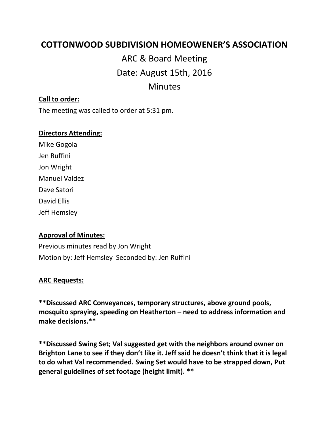# **COTTONWOOD SUBDIVISION HOMEOWENER'S ASSOCIATION**

ARC & Board Meeting Date: August 15th, 2016 Minutes

### **Call to order:**

The meeting was called to order at 5:31 pm.

#### **Directors Attending:**

Mike Gogola Jen Ruffini Jon Wright Manuel Valdez Dave Satori David Ellis Jeff Hemsley

#### **Approval of Minutes:**

Previous minutes read by Jon Wright Motion by: Jeff Hemsley Seconded by: Jen Ruffini

#### **ARC Requests:**

**\*\*Discussed ARC Conveyances, temporary structures, above ground pools, mosquito spraying, speeding on Heatherton – need to address information and make decisions.\*\***

**\*\*Discussed Swing Set; Val suggested get with the neighbors around owner on Brighton Lane to see if they don't like it. Jeff said he doesn't think that it is legal to do what Val recommended. Swing Set would have to be strapped down, Put general guidelines of set footage (height limit). \*\***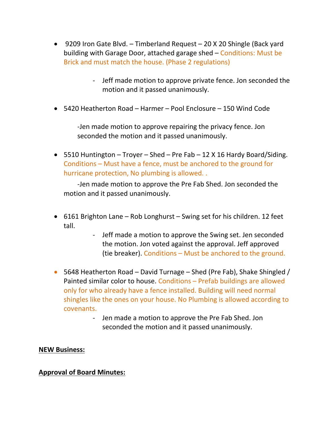- 9209 Iron Gate Blvd. Timberland Request 20 X 20 Shingle (Back yard building with Garage Door, attached garage shed – Conditions: Must be Brick and must match the house. (Phase 2 regulations)
	- Jeff made motion to approve private fence. Jon seconded the motion and it passed unanimously.
- 5420 Heatherton Road Harmer Pool Enclosure 150 Wind Code

-Jen made motion to approve repairing the privacy fence. Jon seconded the motion and it passed unanimously.

• 5510 Huntington – Troyer – Shed – Pre Fab – 12 X 16 Hardy Board/Siding. Conditions – Must have a fence, must be anchored to the ground for hurricane protection, No plumbing is allowed. .

-Jen made motion to approve the Pre Fab Shed. Jon seconded the motion and it passed unanimously.

- 6161 Brighton Lane Rob Longhurst Swing set for his children. 12 feet tall.
	- Jeff made a motion to approve the Swing set. Jen seconded the motion. Jon voted against the approval. Jeff approved (tie breaker). Conditions – Must be anchored to the ground.
- 5648 Heatherton Road David Turnage Shed (Pre Fab), Shake Shingled / Painted similar color to house. Conditions – Prefab buildings are allowed only for who already have a fence installed. Building will need normal shingles like the ones on your house. No Plumbing is allowed according to covenants.
	- Jen made a motion to approve the Pre Fab Shed. Jon seconded the motion and it passed unanimously.

## **NEW Business:**

## **Approval of Board Minutes:**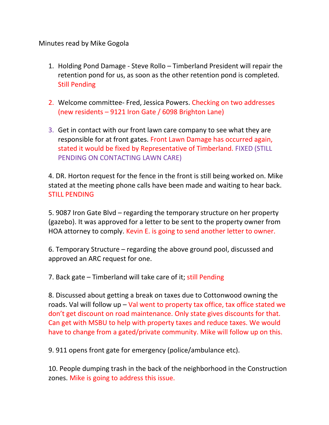## Minutes read by Mike Gogola

- 1. Holding Pond Damage Steve Rollo Timberland President will repair the retention pond for us, as soon as the other retention pond is completed. Still Pending
- 2. Welcome committee- Fred, Jessica Powers. Checking on two addresses (new residents – 9121 Iron Gate / 6098 Brighton Lane)
- 3. Get in contact with our front lawn care company to see what they are responsible for at front gates. Front Lawn Damage has occurred again, stated it would be fixed by Representative of Timberland. FIXED (STILL PENDING ON CONTACTING LAWN CARE)

4. DR. Horton request for the fence in the front is still being worked on. Mike stated at the meeting phone calls have been made and waiting to hear back. STILL PENDING

5. 9087 Iron Gate Blvd – regarding the temporary structure on her property (gazebo). It was approved for a letter to be sent to the property owner from HOA attorney to comply. Kevin E. is going to send another letter to owner.

6. Temporary Structure – regarding the above ground pool, discussed and approved an ARC request for one.

7. Back gate – Timberland will take care of it; still Pending

8. Discussed about getting a break on taxes due to Cottonwood owning the roads. Val will follow up  $-$  Val went to property tax office, tax office stated we don't get discount on road maintenance. Only state gives discounts for that. Can get with MSBU to help with property taxes and reduce taxes. We would have to change from a gated/private community. Mike will follow up on this.

9. 911 opens front gate for emergency (police/ambulance etc).

10. People dumping trash in the back of the neighborhood in the Construction zones. Mike is going to address this issue.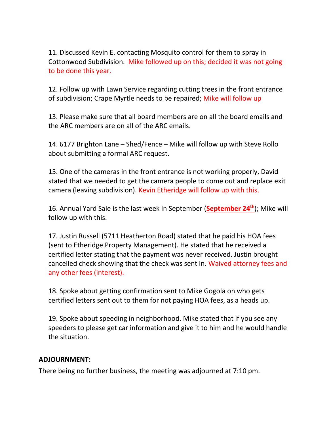11. Discussed Kevin E. contacting Mosquito control for them to spray in Cottonwood Subdivision. Mike followed up on this; decided it was not going to be done this year.

12. Follow up with Lawn Service regarding cutting trees in the front entrance of subdivision; Crape Myrtle needs to be repaired; Mike will follow up

13. Please make sure that all board members are on all the board emails and the ARC members are on all of the ARC emails.

14. 6177 Brighton Lane – Shed/Fence – Mike will follow up with Steve Rollo about submitting a formal ARC request.

15. One of the cameras in the front entrance is not working properly, David stated that we needed to get the camera people to come out and replace exit camera (leaving subdivision). Kevin Etheridge will follow up with this.

16. Annual Yard Sale is the last week in September (**September 24th**); Mike will follow up with this.

17. Justin Russell (5711 Heatherton Road) stated that he paid his HOA fees (sent to Etheridge Property Management). He stated that he received a certified letter stating that the payment was never received. Justin brought cancelled check showing that the check was sent in. Waived attorney fees and any other fees (interest).

18. Spoke about getting confirmation sent to Mike Gogola on who gets certified letters sent out to them for not paying HOA fees, as a heads up.

19. Spoke about speeding in neighborhood. Mike stated that if you see any speeders to please get car information and give it to him and he would handle the situation.

## **ADJOURNMENT:**

There being no further business, the meeting was adjourned at 7:10 pm.